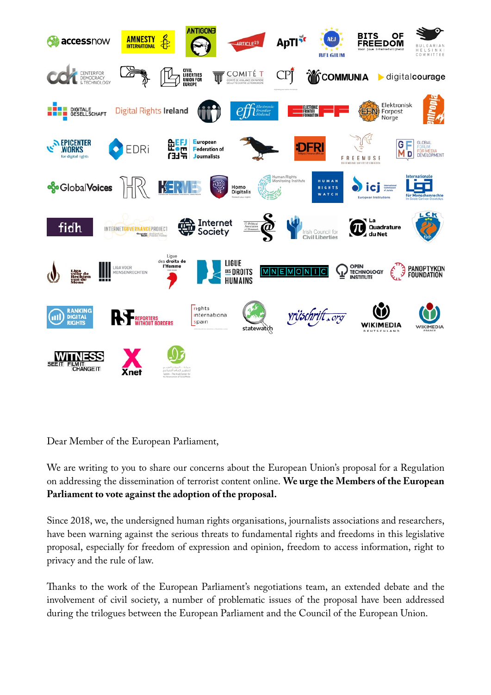

Dear Member of the European Parliament,

We are writing to you to share our concerns about the European Union's proposal for a Regulation on addressing the dissemination of terrorist content online. **We urge the Members of the European Parliament to vote against the adoption of the proposal.**

Since 2018, we, the undersigned human rights organisations, journalists associations and researchers, have been warning against the serious threats to fundamental rights and freedoms in this legislative proposal, especially for freedom of expression and opinion, freedom to access information, right to privacy and the rule of law.

Thanks to the work of the European Parliament's negotiations team, an extended debate and the involvement of civil society, a number of problematic issues of the proposal have been addressed during the trilogues between the European Parliament and the Council of the European Union.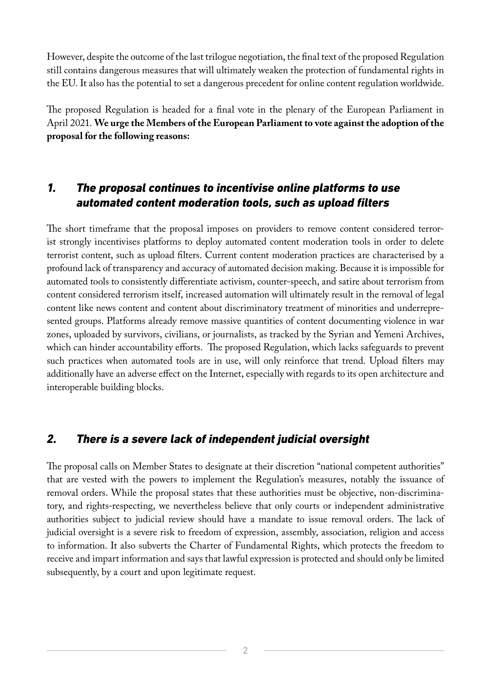However, despite the outcome of the last trilogue negotiation, the final text of the proposed Regulation still contains dangerous measures that will ultimately weaken the protection of fundamental rights in the EU. It also has the potential to set a dangerous precedent for online content regulation worldwide.

The proposed Regulation is headed for a final vote in the plenary of the European Parliament in April 2021. **We urge the Members of the European Parliament to vote against the adoption of the proposal for the following reasons:** 

## *1. The proposal continues to incentivise online platforms to use automated content moderation tools, such as upload filters*

The short timeframe that the proposal imposes on providers to remove content considered terrorist strongly incentivises platforms to deploy automated content moderation tools in order to delete terrorist content, such as upload filters. Current content moderation practices are characterised by a profound lack of transparency and accuracy of automated decision making. Because it is impossible for automated tools to consistently differentiate activism, counter-speech, and satire about terrorism from content considered terrorism itself, increased automation will ultimately result in the removal of legal content like news content and content about discriminatory treatment of minorities and underrepresented groups. Platforms already remove massive quantities of content documenting violence in war zones, uploaded by survivors, civilians, or journalists, as tracked by the Syrian and Yemeni Archives, which can hinder accountability efforts. The proposed Regulation, which lacks safeguards to prevent such practices when automated tools are in use, will only reinforce that trend. Upload filters may additionally have an adverse effect on the Internet, especially with regards to its open architecture and interoperable building blocks.

## *2. There is a severe lack of independent judicial oversight*

The proposal calls on Member States to designate at their discretion "national competent authorities" that are vested with the powers to implement the Regulation's measures, notably the issuance of removal orders. While the proposal states that these authorities must be objective, non-discriminatory, and rights-respecting, we nevertheless believe that only courts or independent administrative authorities subject to judicial review should have a mandate to issue removal orders. The lack of judicial oversight is a severe risk to freedom of expression, assembly, association, religion and access to information. It also subverts the Charter of Fundamental Rights, which protects the freedom to receive and impart information and says that lawful expression is protected and should only be limited subsequently, by a court and upon legitimate request.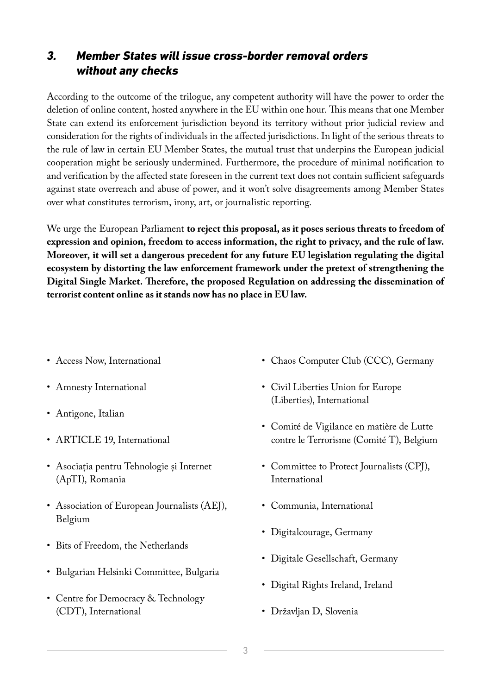## *3. Member States will issue cross-border removal orders without any checks*

According to the outcome of the trilogue, any competent authority will have the power to order the deletion of online content, hosted anywhere in the EU within one hour. This means that one Member State can extend its enforcement jurisdiction beyond its territory without prior judicial review and consideration for the rights of individuals in the affected jurisdictions. In light of the serious threats to the rule of law in certain EU Member States, the mutual trust that underpins the European judicial cooperation might be seriously undermined. Furthermore, the procedure of minimal notification to and verification by the affected state foreseen in the current text does not contain sufficient safeguards against state overreach and abuse of power, and it won't solve disagreements among Member States over what constitutes terrorism, irony, art, or journalistic reporting.

We urge the European Parliament **to reject this proposal, as it poses serious threats to freedom of expression and opinion, freedom to access information, the right to privacy, and the rule of law. Moreover, it will set a dangerous precedent for any future EU legislation regulating the digital ecosystem by distorting the law enforcement framework under the pretext of strengthening the Digital Single Market. Therefore, the proposed Regulation on addressing the dissemination of terrorist content online as it stands now has no place in EU law.**

- Access Now, International
- Amnesty International
- Antigone, Italian
- ARTICLE 19, International
- Asociația pentru Tehnologie și Internet (ApTI), Romania
- Association of European Journalists (AEJ), Belgium
- Bits of Freedom, the Netherlands
- Bulgarian Helsinki Committee, Bulgaria
- Centre for Democracy & Technology (CDT), International
- Chaos Computer Club (CCC), Germany
- Civil Liberties Union for Europe (Liberties), International
- Comité de Vigilance en matière de Lutte contre le Terrorisme (Comité T), Belgium
- Committee to Protect Journalists (CPJ), International
- Communia, International
- Digitalcourage, Germany
- Digitale Gesellschaft, Germany
- Digital Rights Ireland, Ireland
- Državljan D, Slovenia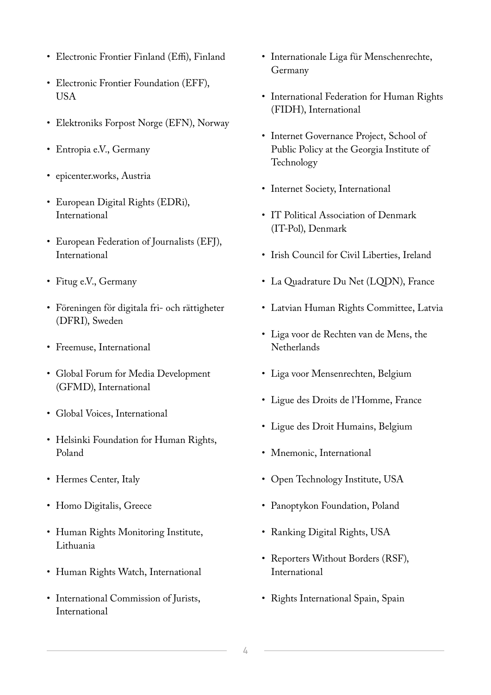- Electronic Frontier Finland (Effi), Finland
- Electronic Frontier Foundation (EFF), USA
- Elektroniks Forpost Norge (EFN), Norway
- Entropia e.V., Germany
- epicenter.works, Austria
- European Digital Rights (EDRi), International
- European Federation of Journalists (EFJ), International
- Fitug e.V., Germany
- Föreningen för digitala fri- och rättigheter (DFRI), Sweden
- Freemuse, International
- Global Forum for Media Development (GFMD), International
- Global Voices, International
- Helsinki Foundation for Human Rights, Poland
- Hermes Center, Italy
- Homo Digitalis, Greece
- Human Rights Monitoring Institute, Lithuania
- Human Rights Watch, International
- International Commission of Jurists, International
- Internationale Liga für Menschenrechte, Germany
- International Federation for Human Rights (FIDH), International
- Internet Governance Project, School of Public Policy at the Georgia Institute of Technology
- Internet Society, International
- IT Political Association of Denmark (IT-Pol), Denmark
- Irish Council for Civil Liberties, Ireland
- La Quadrature Du Net (LQDN), France
- Latvian Human Rights Committee, Latvia
- Liga voor de Rechten van de Mens, the **Netherlands**
- Liga voor Mensenrechten, Belgium
- Ligue des Droits de l'Homme, France
- Ligue des Droit Humains, Belgium
- Mnemonic, International
- Open Technology Institute, USA
- Panoptykon Foundation, Poland
- Ranking Digital Rights, USA
- Reporters Without Borders (RSF), International
- Rights International Spain, Spain